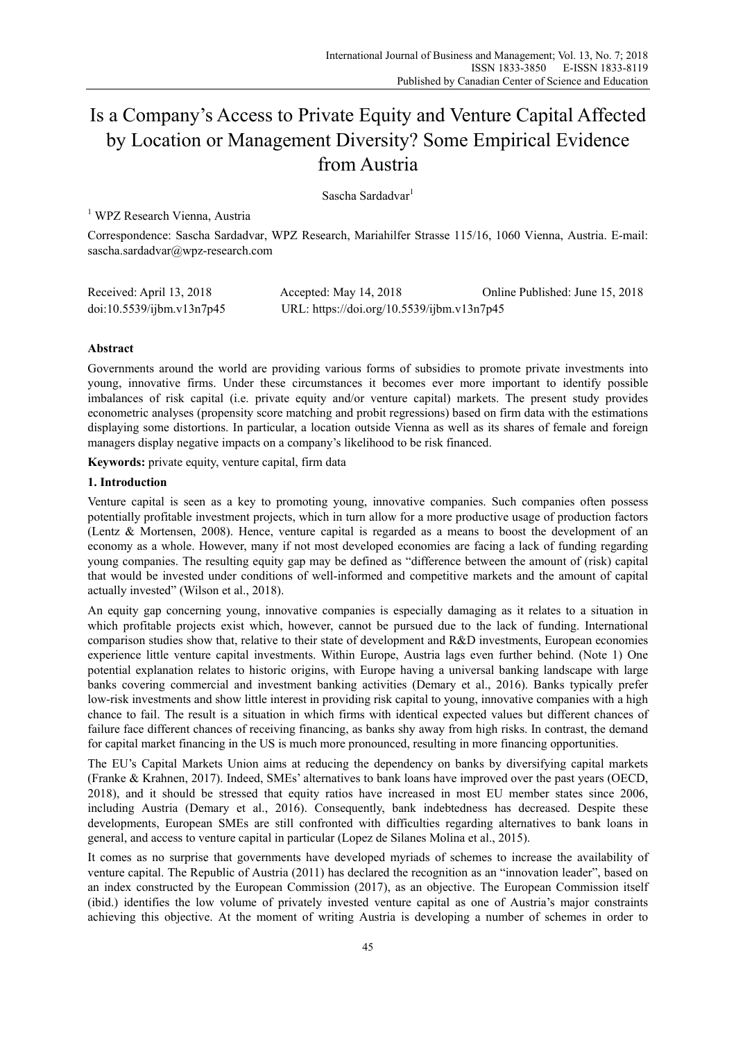# Is a Company's Access to Private Equity and Venture Capital Affected by Location or Management Diversity? Some Empirical Evidence from Austria

Sascha Sardadvar<sup>1</sup>

<sup>1</sup> WPZ Research Vienna, Austria

Correspondence: Sascha Sardadvar, WPZ Research, Mariahilfer Strasse 115/16, 1060 Vienna, Austria. E-mail: sascha.sardadvar@wpz-research.com

| Received: April 13, 2018  | Accepted: May 14, 2018                     | Online Published: June 15, 2018 |
|---------------------------|--------------------------------------------|---------------------------------|
| doi:10.5539/ijbm.v13n7p45 | URL: https://doi.org/10.5539/ijbm.v13n7p45 |                                 |

# **Abstract**

Governments around the world are providing various forms of subsidies to promote private investments into young, innovative firms. Under these circumstances it becomes ever more important to identify possible imbalances of risk capital (i.e. private equity and/or venture capital) markets. The present study provides econometric analyses (propensity score matching and probit regressions) based on firm data with the estimations displaying some distortions. In particular, a location outside Vienna as well as its shares of female and foreign managers display negative impacts on a company's likelihood to be risk financed.

**Keywords:** private equity, venture capital, firm data

# **1. Introduction**

Venture capital is seen as a key to promoting young, innovative companies. Such companies often possess potentially profitable investment projects, which in turn allow for a more productive usage of production factors (Lentz & Mortensen, 2008). Hence, venture capital is regarded as a means to boost the development of an economy as a whole. However, many if not most developed economies are facing a lack of funding regarding young companies. The resulting equity gap may be defined as "difference between the amount of (risk) capital that would be invested under conditions of well-informed and competitive markets and the amount of capital actually invested" (Wilson et al., 2018).

An equity gap concerning young, innovative companies is especially damaging as it relates to a situation in which profitable projects exist which, however, cannot be pursued due to the lack of funding. International comparison studies show that, relative to their state of development and R&D investments, European economies experience little venture capital investments. Within Europe, Austria lags even further behind. (Note 1) One potential explanation relates to historic origins, with Europe having a universal banking landscape with large banks covering commercial and investment banking activities (Demary et al., 2016). Banks typically prefer low-risk investments and show little interest in providing risk capital to young, innovative companies with a high chance to fail. The result is a situation in which firms with identical expected values but different chances of failure face different chances of receiving financing, as banks shy away from high risks. In contrast, the demand for capital market financing in the US is much more pronounced, resulting in more financing opportunities.

The EU's Capital Markets Union aims at reducing the dependency on banks by diversifying capital markets (Franke & Krahnen, 2017). Indeed, SMEs' alternatives to bank loans have improved over the past years (OECD, 2018), and it should be stressed that equity ratios have increased in most EU member states since 2006, including Austria (Demary et al., 2016). Consequently, bank indebtedness has decreased. Despite these developments, European SMEs are still confronted with difficulties regarding alternatives to bank loans in general, and access to venture capital in particular (Lopez de Silanes Molina et al., 2015).

It comes as no surprise that governments have developed myriads of schemes to increase the availability of venture capital. The Republic of Austria (2011) has declared the recognition as an "innovation leader", based on an index constructed by the European Commission (2017), as an objective. The European Commission itself (ibid.) identifies the low volume of privately invested venture capital as one of Austria's major constraints achieving this objective. At the moment of writing Austria is developing a number of schemes in order to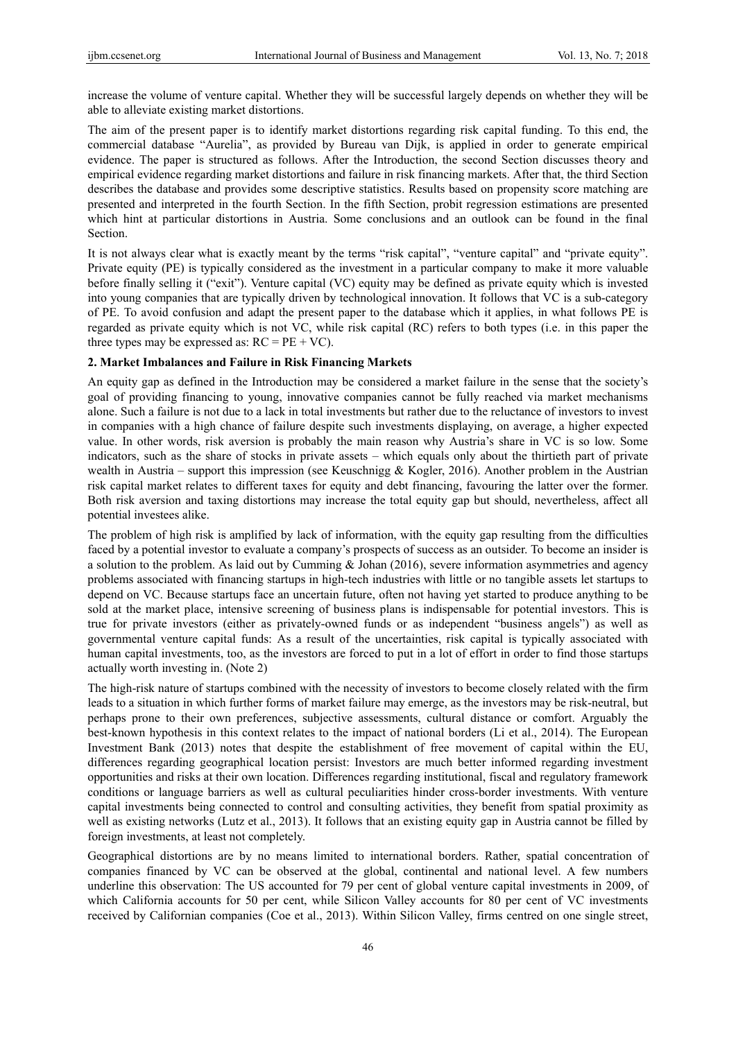increase the volume of venture capital. Whether they will be successful largely depends on whether they will be able to alleviate existing market distortions.

The aim of the present paper is to identify market distortions regarding risk capital funding. To this end, the commercial database "Aurelia", as provided by Bureau van Dijk, is applied in order to generate empirical evidence. The paper is structured as follows. After the Introduction, the second Section discusses theory and empirical evidence regarding market distortions and failure in risk financing markets. After that, the third Section describes the database and provides some descriptive statistics. Results based on propensity score matching are presented and interpreted in the fourth Section. In the fifth Section, probit regression estimations are presented which hint at particular distortions in Austria. Some conclusions and an outlook can be found in the final Section.

It is not always clear what is exactly meant by the terms "risk capital", "venture capital" and "private equity". Private equity (PE) is typically considered as the investment in a particular company to make it more valuable before finally selling it ("exit"). Venture capital (VC) equity may be defined as private equity which is invested into young companies that are typically driven by technological innovation. It follows that VC is a sub-category of PE. To avoid confusion and adapt the present paper to the database which it applies, in what follows PE is regarded as private equity which is not VC, while risk capital (RC) refers to both types (i.e. in this paper the three types may be expressed as:  $RC = PE + VC$ .

## **2. Market Imbalances and Failure in Risk Financing Markets**

An equity gap as defined in the Introduction may be considered a market failure in the sense that the society's goal of providing financing to young, innovative companies cannot be fully reached via market mechanisms alone. Such a failure is not due to a lack in total investments but rather due to the reluctance of investors to invest in companies with a high chance of failure despite such investments displaying, on average, a higher expected value. In other words, risk aversion is probably the main reason why Austria's share in VC is so low. Some indicators, such as the share of stocks in private assets – which equals only about the thirtieth part of private wealth in Austria – support this impression (see Keuschnigg & Kogler, 2016). Another problem in the Austrian risk capital market relates to different taxes for equity and debt financing, favouring the latter over the former. Both risk aversion and taxing distortions may increase the total equity gap but should, nevertheless, affect all potential investees alike.

The problem of high risk is amplified by lack of information, with the equity gap resulting from the difficulties faced by a potential investor to evaluate a company's prospects of success as an outsider. To become an insider is a solution to the problem. As laid out by Cumming & Johan (2016), severe information asymmetries and agency problems associated with financing startups in high-tech industries with little or no tangible assets let startups to depend on VC. Because startups face an uncertain future, often not having yet started to produce anything to be sold at the market place, intensive screening of business plans is indispensable for potential investors. This is true for private investors (either as privately-owned funds or as independent "business angels") as well as governmental venture capital funds: As a result of the uncertainties, risk capital is typically associated with human capital investments, too, as the investors are forced to put in a lot of effort in order to find those startups actually worth investing in. (Note 2)

The high-risk nature of startups combined with the necessity of investors to become closely related with the firm leads to a situation in which further forms of market failure may emerge, as the investors may be risk-neutral, but perhaps prone to their own preferences, subjective assessments, cultural distance or comfort. Arguably the best-known hypothesis in this context relates to the impact of national borders (Li et al., 2014). The European Investment Bank (2013) notes that despite the establishment of free movement of capital within the EU, differences regarding geographical location persist: Investors are much better informed regarding investment opportunities and risks at their own location. Differences regarding institutional, fiscal and regulatory framework conditions or language barriers as well as cultural peculiarities hinder cross-border investments. With venture capital investments being connected to control and consulting activities, they benefit from spatial proximity as well as existing networks (Lutz et al., 2013). It follows that an existing equity gap in Austria cannot be filled by foreign investments, at least not completely.

Geographical distortions are by no means limited to international borders. Rather, spatial concentration of companies financed by VC can be observed at the global, continental and national level. A few numbers underline this observation: The US accounted for 79 per cent of global venture capital investments in 2009, of which California accounts for 50 per cent, while Silicon Valley accounts for 80 per cent of VC investments received by Californian companies (Coe et al., 2013). Within Silicon Valley, firms centred on one single street,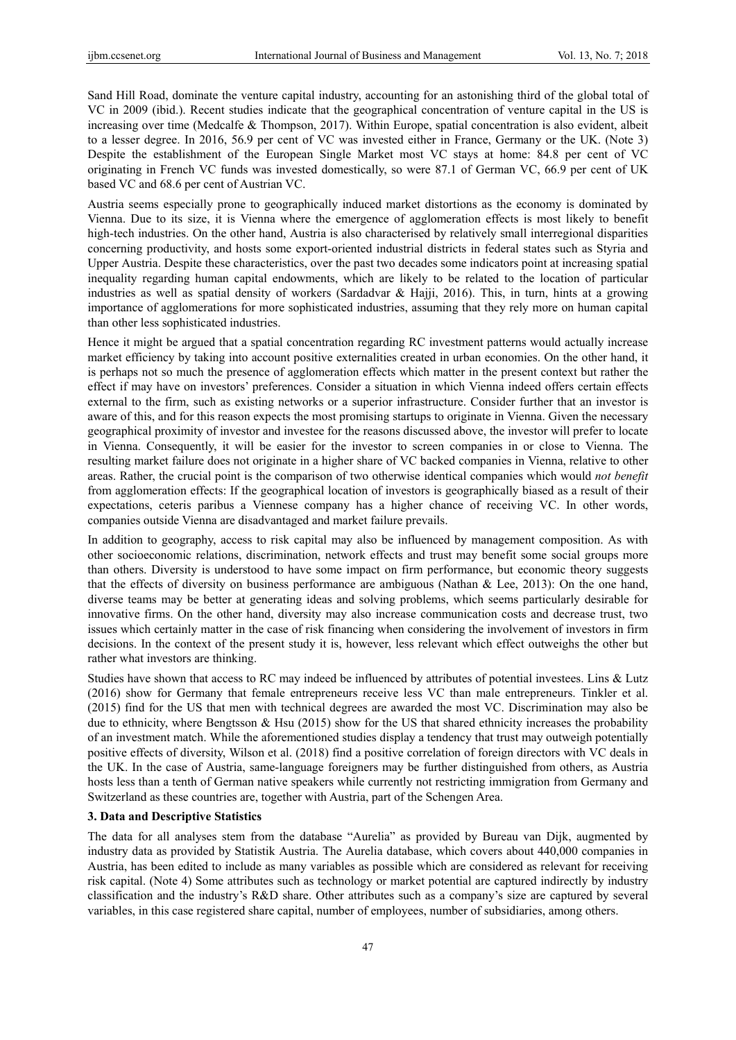Sand Hill Road, dominate the venture capital industry, accounting for an astonishing third of the global total of VC in 2009 (ibid.). Recent studies indicate that the geographical concentration of venture capital in the US is increasing over time (Medcalfe & Thompson, 2017). Within Europe, spatial concentration is also evident, albeit to a lesser degree. In 2016, 56.9 per cent of VC was invested either in France, Germany or the UK. (Note 3) Despite the establishment of the European Single Market most VC stays at home: 84.8 per cent of VC originating in French VC funds was invested domestically, so were 87.1 of German VC, 66.9 per cent of UK based VC and 68.6 per cent of Austrian VC.

Austria seems especially prone to geographically induced market distortions as the economy is dominated by Vienna. Due to its size, it is Vienna where the emergence of agglomeration effects is most likely to benefit high-tech industries. On the other hand, Austria is also characterised by relatively small interregional disparities concerning productivity, and hosts some export-oriented industrial districts in federal states such as Styria and Upper Austria. Despite these characteristics, over the past two decades some indicators point at increasing spatial inequality regarding human capital endowments, which are likely to be related to the location of particular industries as well as spatial density of workers (Sardadvar & Hajji, 2016). This, in turn, hints at a growing importance of agglomerations for more sophisticated industries, assuming that they rely more on human capital than other less sophisticated industries.

Hence it might be argued that a spatial concentration regarding RC investment patterns would actually increase market efficiency by taking into account positive externalities created in urban economies. On the other hand, it is perhaps not so much the presence of agglomeration effects which matter in the present context but rather the effect if may have on investors' preferences. Consider a situation in which Vienna indeed offers certain effects external to the firm, such as existing networks or a superior infrastructure. Consider further that an investor is aware of this, and for this reason expects the most promising startups to originate in Vienna. Given the necessary geographical proximity of investor and investee for the reasons discussed above, the investor will prefer to locate in Vienna. Consequently, it will be easier for the investor to screen companies in or close to Vienna. The resulting market failure does not originate in a higher share of VC backed companies in Vienna, relative to other areas. Rather, the crucial point is the comparison of two otherwise identical companies which would *not benefit* from agglomeration effects: If the geographical location of investors is geographically biased as a result of their expectations, ceteris paribus a Viennese company has a higher chance of receiving VC. In other words, companies outside Vienna are disadvantaged and market failure prevails.

In addition to geography, access to risk capital may also be influenced by management composition. As with other socioeconomic relations, discrimination, network effects and trust may benefit some social groups more than others. Diversity is understood to have some impact on firm performance, but economic theory suggests that the effects of diversity on business performance are ambiguous (Nathan & Lee, 2013): On the one hand, diverse teams may be better at generating ideas and solving problems, which seems particularly desirable for innovative firms. On the other hand, diversity may also increase communication costs and decrease trust, two issues which certainly matter in the case of risk financing when considering the involvement of investors in firm decisions. In the context of the present study it is, however, less relevant which effect outweighs the other but rather what investors are thinking.

Studies have shown that access to RC may indeed be influenced by attributes of potential investees. Lins & Lutz (2016) show for Germany that female entrepreneurs receive less VC than male entrepreneurs. Tinkler et al. (2015) find for the US that men with technical degrees are awarded the most VC. Discrimination may also be due to ethnicity, where Bengtsson & Hsu (2015) show for the US that shared ethnicity increases the probability of an investment match. While the aforementioned studies display a tendency that trust may outweigh potentially positive effects of diversity, Wilson et al. (2018) find a positive correlation of foreign directors with VC deals in the UK. In the case of Austria, same-language foreigners may be further distinguished from others, as Austria hosts less than a tenth of German native speakers while currently not restricting immigration from Germany and Switzerland as these countries are, together with Austria, part of the Schengen Area.

#### **3. Data and Descriptive Statistics**

The data for all analyses stem from the database "Aurelia" as provided by Bureau van Dijk, augmented by industry data as provided by Statistik Austria. The Aurelia database, which covers about 440,000 companies in Austria, has been edited to include as many variables as possible which are considered as relevant for receiving risk capital. (Note 4) Some attributes such as technology or market potential are captured indirectly by industry classification and the industry's R&D share. Other attributes such as a company's size are captured by several variables, in this case registered share capital, number of employees, number of subsidiaries, among others.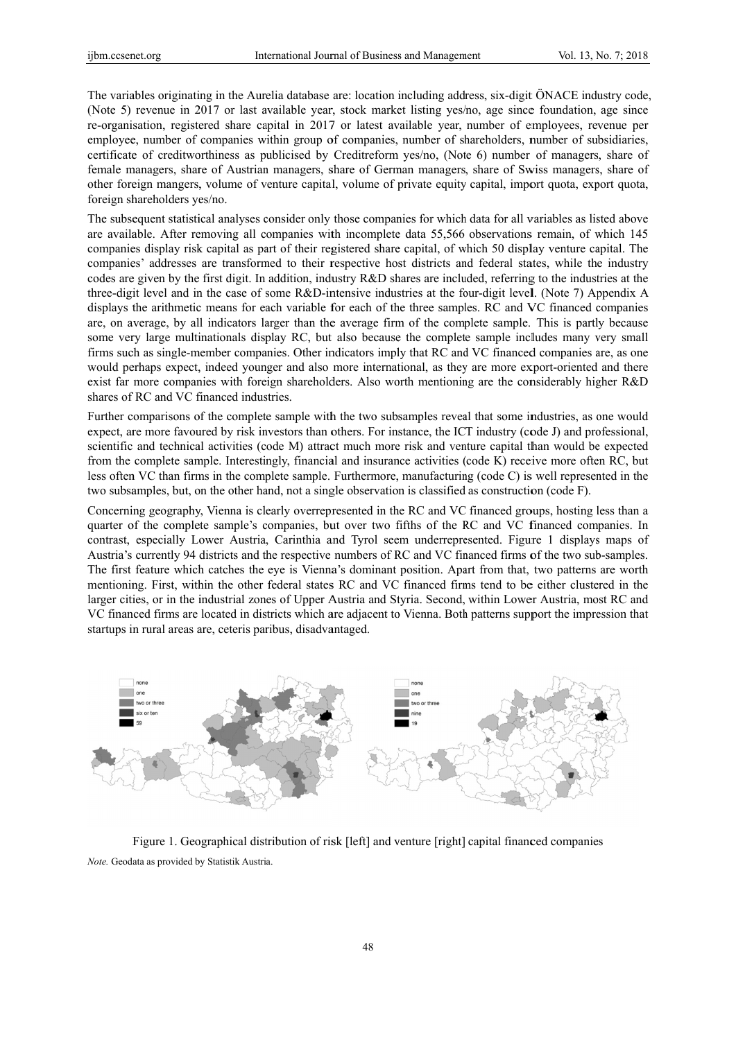The variables originating in the Aurelia database are: location including address, six-digit ÖNACE industry code, (Note 5) revenue in 2017 or last available year, stock market listing yes/no, age since foundation, age since re-organisation, registered share capital in 2017 or latest available year, number of employees, revenue per employee, number of companies within group of companies, number of shareholders, number of subsidiaries, certificate of creditworthiness as publicised by Creditreform yes/no, (Note 6) number of managers, share of female managers, share of Austrian managers, share of German managers, share of Swiss managers, share of other foreign mangers, volume of venture capital, volume of private equity capital, import quota, export quota, foreign shareholders yes/no.

The subsequent statistical analyses consider only those companies for which data for all variables as listed above are available. After removing all companies with incomplete data 55,566 observations remain, of which 145 companies display risk capital as part of their registered share capital, of which 50 display venture capital. The companies' addresses are transformed to their respective host districts and federal states, while the industry codes are given by the first digit. In addition, industry R&D shares are included, referring to the industries at the three-digit level and in the case of some R&D-intensive industries at the four-digit level. (Note 7) Appendix A displays the arithmetic means for each variable for each of the three samples. RC and VC financed companies are, on average, by all indicators larger than the average firm of the complete sample. This is partly because some very large multinationals display RC, but also because the complete sample includes many very small firms such as single-member companies. Other indicators imply that RC and VC financed companies are, as one would perhaps expect, indeed younger and also more international, as they are more export-oriented and there exist far more companies with foreign shareholders. Also worth mentioning are the considerably higher R&D shares of RC and VC financed industries.

Further comparisons of the complete sample with the two subsamples reveal that some industries, as one would expect, are more favoured by risk investors than others. For instance, the ICT industry (code J) and professional, scientific and technical activities (code M) attract much more risk and venture capital than would be expected from the complete sample. Interestingly, financial and insurance activities (code K) receive more often RC, but less often VC than firms in the complete sample. Furthermore, manufacturing (code C) is well represented in the two subsamples, but, on the other hand, not a single observation is classified as construction (code F).

Concerning geography, Vienna is clearly overrepresented in the RC and VC financed groups, hosting less than a quarter of the complete sample's companies, but over two fifths of the RC and VC financed companies. In contrast, especially Lower Austria, Carinthia and Tyrol seem underrepresented. Figure 1 displays maps of Austria's currently 94 districts and the respective numbers of RC and VC financed firms of the two sub-samples. The first feature which catches the eye is Vienna's dominant position. Apart from that, two patterns are worth mentioning. First, within the other federal states RC and VC financed firms tend to be either clustered in the larger cities, or in the industrial zones of Upper Austria and Styria. Second, within Lower Austria, most RC and VC financed firms are located in districts which are adjacent to Vienna. Both patterns support the impression that startups in rural areas are, ceteris paribus, disadvantaged.



Figure 1. Geographical distribution of risk [left] and venture [right] capital financed companies Note. Geodata as provided by Statistik Austria.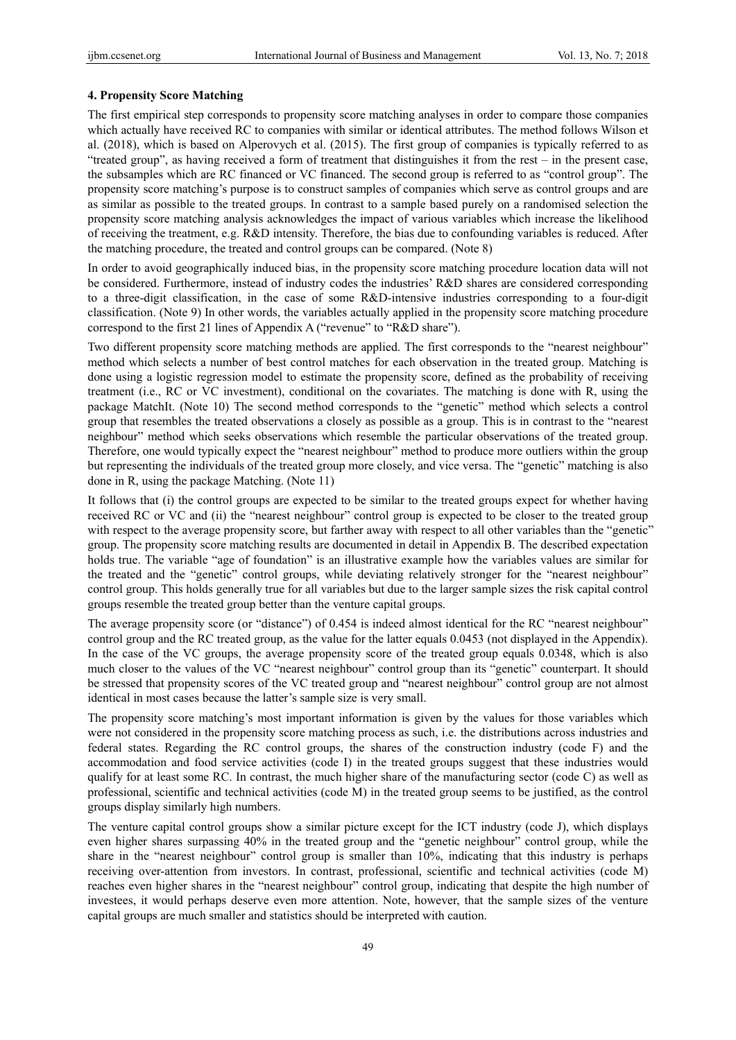## **4. Propensity Score Matching**

The first empirical step corresponds to propensity score matching analyses in order to compare those companies which actually have received RC to companies with similar or identical attributes. The method follows Wilson et al. (2018), which is based on Alperovych et al. (2015). The first group of companies is typically referred to as "treated group", as having received a form of treatment that distinguishes it from the rest – in the present case, the subsamples which are RC financed or VC financed. The second group is referred to as "control group". The propensity score matching's purpose is to construct samples of companies which serve as control groups and are as similar as possible to the treated groups. In contrast to a sample based purely on a randomised selection the propensity score matching analysis acknowledges the impact of various variables which increase the likelihood of receiving the treatment, e.g. R&D intensity. Therefore, the bias due to confounding variables is reduced. After the matching procedure, the treated and control groups can be compared. (Note 8)

In order to avoid geographically induced bias, in the propensity score matching procedure location data will not be considered. Furthermore, instead of industry codes the industries' R&D shares are considered corresponding to a three-digit classification, in the case of some R&D-intensive industries corresponding to a four-digit classification. (Note 9) In other words, the variables actually applied in the propensity score matching procedure correspond to the first 21 lines of Appendix A ("revenue" to "R&D share").

Two different propensity score matching methods are applied. The first corresponds to the "nearest neighbour" method which selects a number of best control matches for each observation in the treated group. Matching is done using a logistic regression model to estimate the propensity score, defined as the probability of receiving treatment (i.e., RC or VC investment), conditional on the covariates. The matching is done with R, using the package MatchIt. (Note 10) The second method corresponds to the "genetic" method which selects a control group that resembles the treated observations a closely as possible as a group. This is in contrast to the "nearest neighbour" method which seeks observations which resemble the particular observations of the treated group. Therefore, one would typically expect the "nearest neighbour" method to produce more outliers within the group but representing the individuals of the treated group more closely, and vice versa. The "genetic" matching is also done in R, using the package Matching. (Note 11)

It follows that (i) the control groups are expected to be similar to the treated groups expect for whether having received RC or VC and (ii) the "nearest neighbour" control group is expected to be closer to the treated group with respect to the average propensity score, but farther away with respect to all other variables than the "genetic" group. The propensity score matching results are documented in detail in Appendix B. The described expectation holds true. The variable "age of foundation" is an illustrative example how the variables values are similar for the treated and the "genetic" control groups, while deviating relatively stronger for the "nearest neighbour" control group. This holds generally true for all variables but due to the larger sample sizes the risk capital control groups resemble the treated group better than the venture capital groups.

The average propensity score (or "distance") of 0.454 is indeed almost identical for the RC "nearest neighbour" control group and the RC treated group, as the value for the latter equals 0.0453 (not displayed in the Appendix). In the case of the VC groups, the average propensity score of the treated group equals 0.0348, which is also much closer to the values of the VC "nearest neighbour" control group than its "genetic" counterpart. It should be stressed that propensity scores of the VC treated group and "nearest neighbour" control group are not almost identical in most cases because the latter's sample size is very small.

The propensity score matching's most important information is given by the values for those variables which were not considered in the propensity score matching process as such, i.e. the distributions across industries and federal states. Regarding the RC control groups, the shares of the construction industry (code F) and the accommodation and food service activities (code I) in the treated groups suggest that these industries would qualify for at least some RC. In contrast, the much higher share of the manufacturing sector (code C) as well as professional, scientific and technical activities (code M) in the treated group seems to be justified, as the control groups display similarly high numbers.

The venture capital control groups show a similar picture except for the ICT industry (code J), which displays even higher shares surpassing 40% in the treated group and the "genetic neighbour" control group, while the share in the "nearest neighbour" control group is smaller than 10%, indicating that this industry is perhaps receiving over-attention from investors. In contrast, professional, scientific and technical activities (code M) reaches even higher shares in the "nearest neighbour" control group, indicating that despite the high number of investees, it would perhaps deserve even more attention. Note, however, that the sample sizes of the venture capital groups are much smaller and statistics should be interpreted with caution.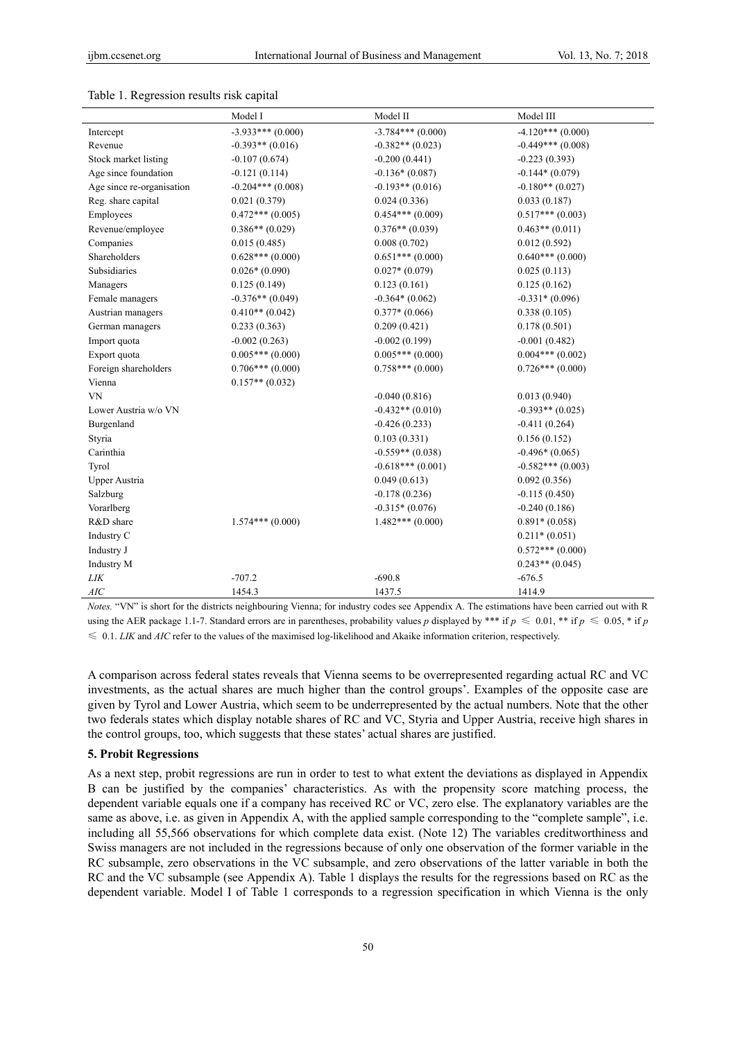|                           | Model I             | Model II           | Model III           |  |
|---------------------------|---------------------|--------------------|---------------------|--|
| Intercept                 | $-3.933***$ (0.000) | $-3.784***(0.000)$ | $-4.120***(0.000)$  |  |
| Revenue                   | $-0.393**$ (0.016)  | $-0.382**$ (0.023) | $-0.449***$ (0.008) |  |
| Stock market listing      | $-0.107(0.674)$     | $-0.200(0.441)$    | $-0.223(0.393)$     |  |
| Age since foundation      | $-0.121(0.114)$     | $-0.136*(0.087)$   | $-0.144*(0.079)$    |  |
| Age since re-organisation | $-0.204***$ (0.008) | $-0.193**$ (0.016) | $-0.180**$ (0.027)  |  |
| Reg. share capital        | 0.021(0.379)        | 0.024(0.336)       | 0.033(0.187)        |  |
| Employees                 | $0.472***(0.005)$   | $0.454***(0.009)$  | $0.517***(0.003)$   |  |
| Revenue/employee          | $0.386**$ (0.029)   | $0.376**$ (0.039)  | $0.463**$ (0.011)   |  |
| Companies                 | 0.015(0.485)        | 0.008(0.702)       | 0.012(0.592)        |  |
| Shareholders              | $0.628***(0.000)$   | $0.651***(0.000)$  | $0.640***(0.000)$   |  |
| Subsidiaries              | $0.026*(0.090)$     | $0.027*(0.079)$    | 0.025(0.113)        |  |
| Managers                  | 0.125(0.149)        | 0.123(0.161)       | 0.125(0.162)        |  |
| Female managers           | $-0.376**$ (0.049)  | $-0.364*(0.062)$   | $-0.331*(0.096)$    |  |
| Austrian managers         | $0.410**$ (0.042)   | $0.377*(0.066)$    | 0.338(0.105)        |  |
| German managers           | 0.233(0.363)        | 0.209(0.421)       | 0.178(0.501)        |  |
| Import quota              | $-0.002(0.263)$     | $-0.002(0.199)$    | $-0.001(0.482)$     |  |
| Export quota              | $0.005***(0.000)$   | $0.005***(0.000)$  | $0.004***(0.002)$   |  |
| Foreign shareholders      | $0.706***(0.000)$   | $0.758***(0.000)$  | $0.726***(0.000)$   |  |
| Vienna                    | $0.157**$ (0.032)   |                    |                     |  |
| VN                        |                     | $-0.040(0.816)$    | 0.013(0.940)        |  |
| Lower Austria w/o VN      |                     | $-0.432**$ (0.010) | $-0.393**$ (0.025)  |  |
| Burgenland                |                     | $-0.426(0.233)$    | $-0.411(0.264)$     |  |
| Styria                    |                     | 0.103(0.331)       | 0.156(0.152)        |  |
| Carinthia                 |                     | $-0.559**$ (0.038) | $-0.496*(0.065)$    |  |
| Tyrol                     |                     | $-0.618***(0.001)$ | $-0.582***(0.003)$  |  |
| Upper Austria             |                     | 0.049(0.613)       | 0.092(0.356)        |  |
| Salzburg                  |                     | $-0.178(0.236)$    | $-0.115(0.450)$     |  |
| Vorarlberg                |                     | $-0.315*(0.076)$   | $-0.240(0.186)$     |  |
| R&D share                 | $1.574***(0.000)$   | $1.482***(0.000)$  | $0.891*(0.058)$     |  |
| Industry C                |                     |                    | $0.211*(0.051)$     |  |
| Industry J                |                     |                    | $0.572***(0.000)$   |  |
| Industry M                |                     |                    | $0.243**$ (0.045)   |  |
| LIK                       | $-707.2$            | $-690.8$           | $-676.5$            |  |
| AIC                       | 1454.3              | 1437.5             | 1414.9              |  |

#### Table 1. Regression results risk capital

*Notes.* "VN" is short for the districts neighbouring Vienna; for industry codes see Appendix A. The estimations have been carried out with R using the AER package 1.1-7. Standard errors are in parentheses, probability values *p* displayed by \*\*\* if  $p \leq 0.01$ , \*\* if  $p \leq 0.05$ , \* if *p* ≤ 0.1. *LIK* and *AIC* refer to the values of the maximised log-likelihood and Akaike information criterion, respectively.

A comparison across federal states reveals that Vienna seems to be overrepresented regarding actual RC and VC investments, as the actual shares are much higher than the control groups'. Examples of the opposite case are given by Tyrol and Lower Austria, which seem to be underrepresented by the actual numbers. Note that the other two federals states which display notable shares of RC and VC, Styria and Upper Austria, receive high shares in the control groups, too, which suggests that these states' actual shares are justified.

## **5. Probit Regressions**

As a next step, probit regressions are run in order to test to what extent the deviations as displayed in Appendix B can be justified by the companies' characteristics. As with the propensity score matching process, the dependent variable equals one if a company has received RC or VC, zero else. The explanatory variables are the same as above, i.e. as given in Appendix A, with the applied sample corresponding to the "complete sample", i.e. including all 55,566 observations for which complete data exist. (Note 12) The variables creditworthiness and Swiss managers are not included in the regressions because of only one observation of the former variable in the RC subsample, zero observations in the VC subsample, and zero observations of the latter variable in both the RC and the VC subsample (see Appendix A). Table 1 displays the results for the regressions based on RC as the dependent variable. Model I of Table 1 corresponds to a regression specification in which Vienna is the only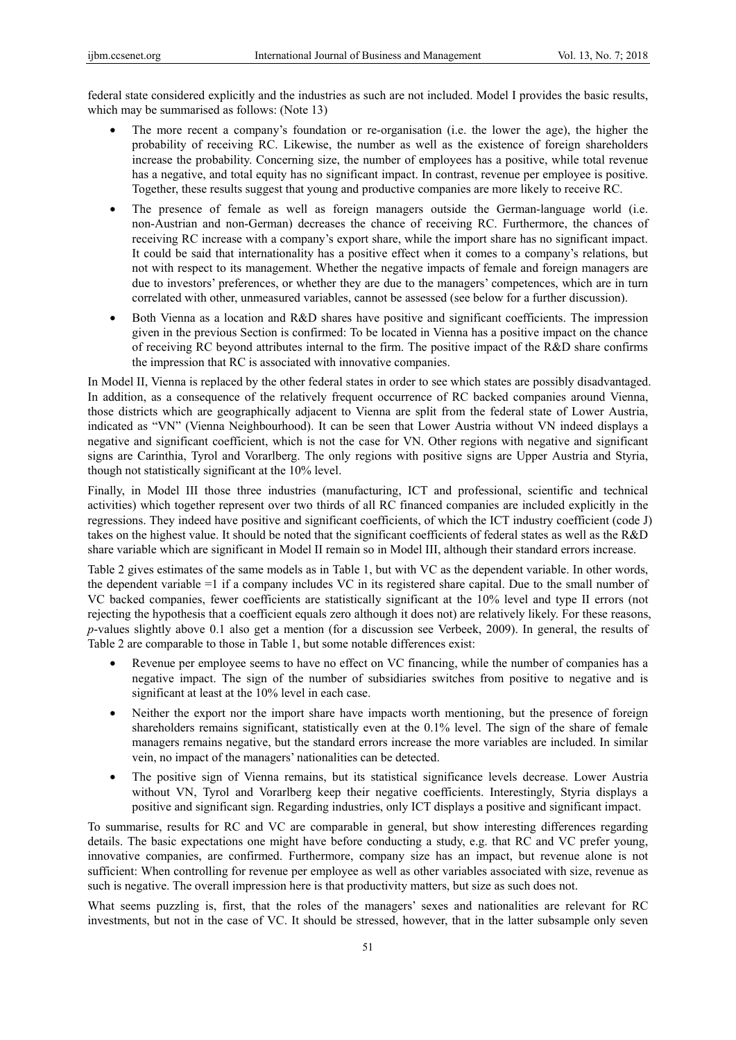federal state considered explicitly and the industries as such are not included. Model I provides the basic results, which may be summarised as follows: (Note 13)

- The more recent a company's foundation or re-organisation (i.e. the lower the age), the higher the probability of receiving RC. Likewise, the number as well as the existence of foreign shareholders increase the probability. Concerning size, the number of employees has a positive, while total revenue has a negative, and total equity has no significant impact. In contrast, revenue per employee is positive. Together, these results suggest that young and productive companies are more likely to receive RC.
- The presence of female as well as foreign managers outside the German-language world (i.e. non-Austrian and non-German) decreases the chance of receiving RC. Furthermore, the chances of receiving RC increase with a company's export share, while the import share has no significant impact. It could be said that internationality has a positive effect when it comes to a company's relations, but not with respect to its management. Whether the negative impacts of female and foreign managers are due to investors' preferences, or whether they are due to the managers' competences, which are in turn correlated with other, unmeasured variables, cannot be assessed (see below for a further discussion).
- Both Vienna as a location and R&D shares have positive and significant coefficients. The impression given in the previous Section is confirmed: To be located in Vienna has a positive impact on the chance of receiving RC beyond attributes internal to the firm. The positive impact of the R&D share confirms the impression that RC is associated with innovative companies.

In Model II, Vienna is replaced by the other federal states in order to see which states are possibly disadvantaged. In addition, as a consequence of the relatively frequent occurrence of RC backed companies around Vienna, those districts which are geographically adjacent to Vienna are split from the federal state of Lower Austria, indicated as "VN" (Vienna Neighbourhood). It can be seen that Lower Austria without VN indeed displays a negative and significant coefficient, which is not the case for VN. Other regions with negative and significant signs are Carinthia, Tyrol and Vorarlberg. The only regions with positive signs are Upper Austria and Styria, though not statistically significant at the 10% level.

Finally, in Model III those three industries (manufacturing, ICT and professional, scientific and technical activities) which together represent over two thirds of all RC financed companies are included explicitly in the regressions. They indeed have positive and significant coefficients, of which the ICT industry coefficient (code J) takes on the highest value. It should be noted that the significant coefficients of federal states as well as the R&D share variable which are significant in Model II remain so in Model III, although their standard errors increase.

Table 2 gives estimates of the same models as in Table 1, but with VC as the dependent variable. In other words, the dependent variable =1 if a company includes VC in its registered share capital. Due to the small number of VC backed companies, fewer coefficients are statistically significant at the 10% level and type II errors (not rejecting the hypothesis that a coefficient equals zero although it does not) are relatively likely. For these reasons, *p*-values slightly above 0.1 also get a mention (for a discussion see Verbeek, 2009). In general, the results of Table 2 are comparable to those in Table 1, but some notable differences exist:

- Revenue per employee seems to have no effect on VC financing, while the number of companies has a negative impact. The sign of the number of subsidiaries switches from positive to negative and is significant at least at the 10% level in each case.
- Neither the export nor the import share have impacts worth mentioning, but the presence of foreign shareholders remains significant, statistically even at the 0.1% level. The sign of the share of female managers remains negative, but the standard errors increase the more variables are included. In similar vein, no impact of the managers' nationalities can be detected.
- The positive sign of Vienna remains, but its statistical significance levels decrease. Lower Austria without VN, Tyrol and Vorarlberg keep their negative coefficients. Interestingly, Styria displays a positive and significant sign. Regarding industries, only ICT displays a positive and significant impact.

To summarise, results for RC and VC are comparable in general, but show interesting differences regarding details. The basic expectations one might have before conducting a study, e.g. that RC and VC prefer young, innovative companies, are confirmed. Furthermore, company size has an impact, but revenue alone is not sufficient: When controlling for revenue per employee as well as other variables associated with size, revenue as such is negative. The overall impression here is that productivity matters, but size as such does not.

What seems puzzling is, first, that the roles of the managers' sexes and nationalities are relevant for RC investments, but not in the case of VC. It should be stressed, however, that in the latter subsample only seven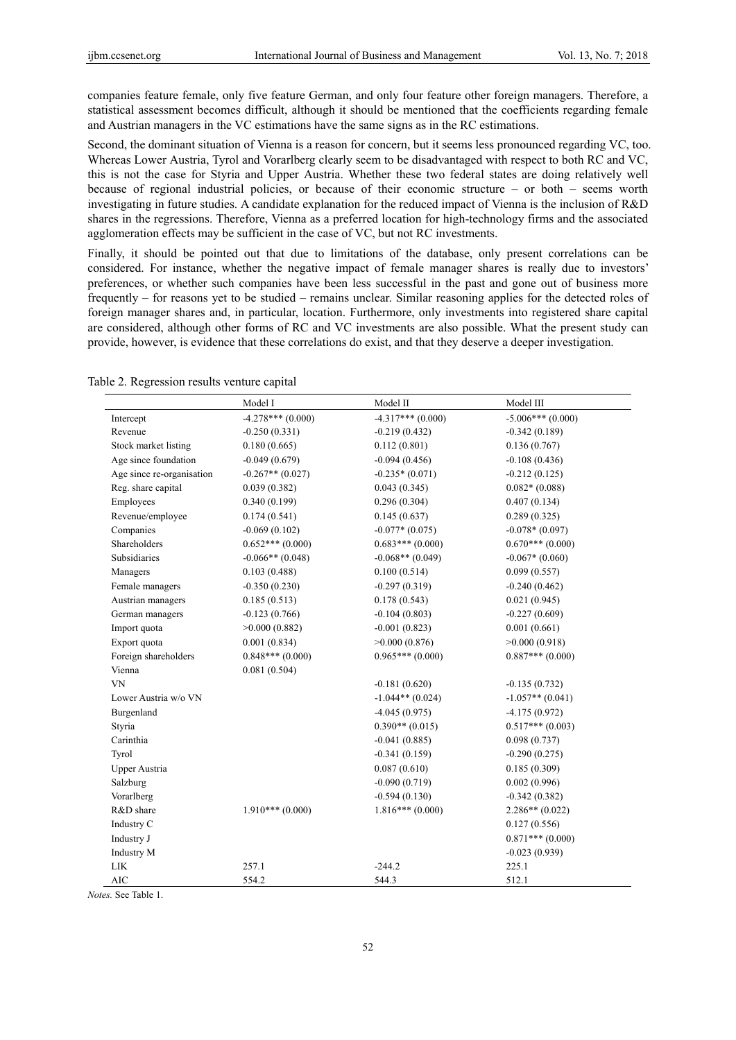companies feature female, only five feature German, and only four feature other foreign managers. Therefore, a statistical assessment becomes difficult, although it should be mentioned that the coefficients regarding female and Austrian managers in the VC estimations have the same signs as in the RC estimations.

Second, the dominant situation of Vienna is a reason for concern, but it seems less pronounced regarding VC, too. Whereas Lower Austria, Tyrol and Vorarlberg clearly seem to be disadvantaged with respect to both RC and VC, this is not the case for Styria and Upper Austria. Whether these two federal states are doing relatively well because of regional industrial policies, or because of their economic structure – or both – seems worth investigating in future studies. A candidate explanation for the reduced impact of Vienna is the inclusion of R&D shares in the regressions. Therefore, Vienna as a preferred location for high-technology firms and the associated agglomeration effects may be sufficient in the case of VC, but not RC investments.

Finally, it should be pointed out that due to limitations of the database, only present correlations can be considered. For instance, whether the negative impact of female manager shares is really due to investors' preferences, or whether such companies have been less successful in the past and gone out of business more frequently – for reasons yet to be studied – remains unclear. Similar reasoning applies for the detected roles of foreign manager shares and, in particular, location. Furthermore, only investments into registered share capital are considered, although other forms of RC and VC investments are also possible. What the present study can provide, however, is evidence that these correlations do exist, and that they deserve a deeper investigation.

|                           | Model I             | Model II            | Model III          |
|---------------------------|---------------------|---------------------|--------------------|
| Intercept                 | $-4.278***$ (0.000) | $-4.317***$ (0.000) | $-5.006***(0.000)$ |
| Revenue                   | $-0.250(0.331)$     | $-0.219(0.432)$     | $-0.342(0.189)$    |
| Stock market listing      | 0.180(0.665)        | 0.112(0.801)        | 0.136(0.767)       |
| Age since foundation      | $-0.049(0.679)$     | $-0.094(0.456)$     | $-0.108(0.436)$    |
| Age since re-organisation | $-0.267**$ (0.027)  | $-0.235*(0.071)$    | $-0.212(0.125)$    |
| Reg. share capital        | 0.039(0.382)        | 0.043(0.345)        | $0.082*(0.088)$    |
| Employees                 | 0.340(0.199)        | 0.296(0.304)        | 0.407(0.134)       |
| Revenue/employee          | 0.174(0.541)        | 0.145(0.637)        | 0.289(0.325)       |
| Companies                 | $-0.069(0.102)$     | $-0.077*(0.075)$    | $-0.078*(0.097)$   |
| Shareholders              | $0.652***(0.000)$   | $0.683***(0.000)$   | $0.670***(0.000)$  |
| Subsidiaries              | $-0.066**$ (0.048)  | $-0.068**$ (0.049)  | $-0.067*(0.060)$   |
| Managers                  | 0.103(0.488)        | 0.100(0.514)        | 0.099(0.557)       |
| Female managers           | $-0.350(0.230)$     | $-0.297(0.319)$     | $-0.240(0.462)$    |
| Austrian managers         | 0.185(0.513)        | 0.178(0.543)        | 0.021(0.945)       |
| German managers           | $-0.123(0.766)$     | $-0.104(0.803)$     | $-0.227(0.609)$    |
| Import quota              | >0.000(0.882)       | $-0.001(0.823)$     | 0.001(0.661)       |
| Export quota              | 0.001(0.834)        | >0.000(0.876)       | >0.000(0.918)      |
| Foreign shareholders      | $0.848***(0.000)$   | $0.965***(0.000)$   | $0.887***(0.000)$  |
| Vienna                    | 0.081(0.504)        |                     |                    |
| <b>VN</b>                 |                     | $-0.181(0.620)$     | $-0.135(0.732)$    |
| Lower Austria w/o VN      |                     | $-1.044**$ (0.024)  | $-1.057**$ (0.041) |
| Burgenland                |                     | $-4.045(0.975)$     | $-4.175(0.972)$    |
| Styria                    |                     | $0.390**$ (0.015)   | $0.517***(0.003)$  |
| Carinthia                 |                     | $-0.041(0.885)$     | 0.098(0.737)       |
| Tyrol                     |                     | $-0.341(0.159)$     | $-0.290(0.275)$    |
| Upper Austria             |                     | 0.087(0.610)        | 0.185(0.309)       |
| Salzburg                  |                     | $-0.090(0.719)$     | 0.002(0.996)       |
| Vorarlberg                |                     | $-0.594(0.130)$     | $-0.342(0.382)$    |
| R&D share                 | $1.910***(0.000)$   | $1.816***(0.000)$   | $2.286**$ (0.022)  |
| Industry C                |                     |                     | 0.127(0.556)       |
| Industry J                |                     |                     | $0.871***(0.000)$  |
| Industry M                |                     |                     | $-0.023(0.939)$    |
| <b>LIK</b>                | 257.1               | $-244.2$            | 225.1              |
| <b>AIC</b>                | 554.2               | 544.3               | 512.1              |

#### Table 2. Regression results venture capital

*Notes.* See Table 1.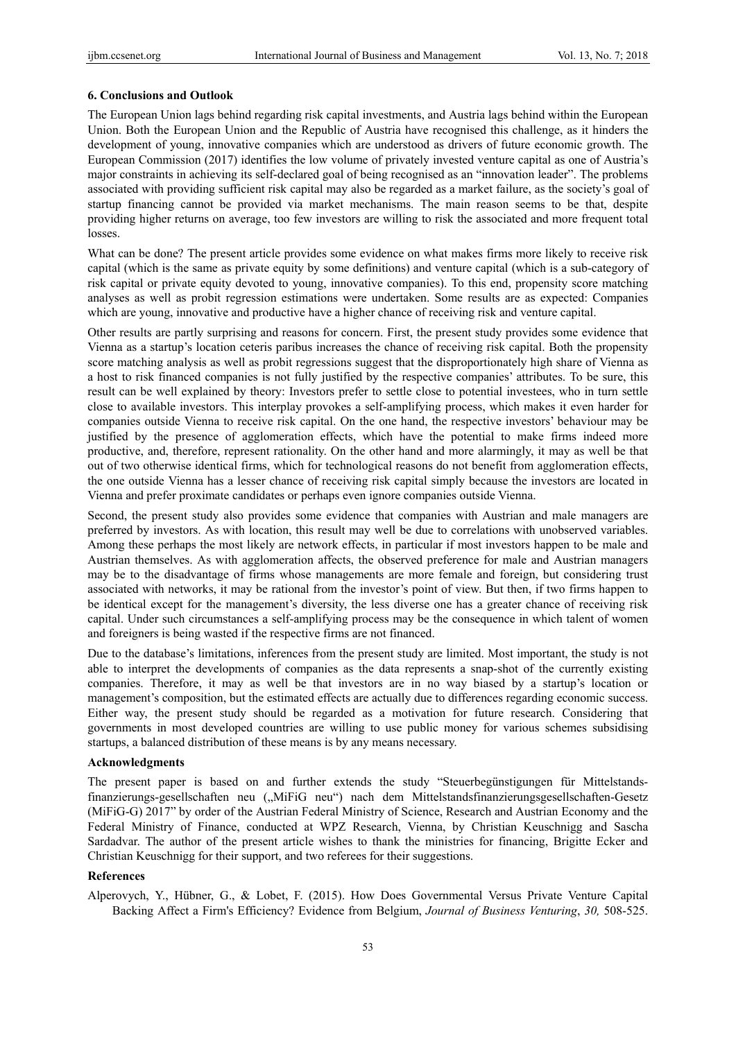## **6. Conclusions and Outlook**

The European Union lags behind regarding risk capital investments, and Austria lags behind within the European Union. Both the European Union and the Republic of Austria have recognised this challenge, as it hinders the development of young, innovative companies which are understood as drivers of future economic growth. The European Commission (2017) identifies the low volume of privately invested venture capital as one of Austria's major constraints in achieving its self-declared goal of being recognised as an "innovation leader". The problems associated with providing sufficient risk capital may also be regarded as a market failure, as the society's goal of startup financing cannot be provided via market mechanisms. The main reason seems to be that, despite providing higher returns on average, too few investors are willing to risk the associated and more frequent total losses.

What can be done? The present article provides some evidence on what makes firms more likely to receive risk capital (which is the same as private equity by some definitions) and venture capital (which is a sub-category of risk capital or private equity devoted to young, innovative companies). To this end, propensity score matching analyses as well as probit regression estimations were undertaken. Some results are as expected: Companies which are young, innovative and productive have a higher chance of receiving risk and venture capital.

Other results are partly surprising and reasons for concern. First, the present study provides some evidence that Vienna as a startup's location ceteris paribus increases the chance of receiving risk capital. Both the propensity score matching analysis as well as probit regressions suggest that the disproportionately high share of Vienna as a host to risk financed companies is not fully justified by the respective companies' attributes. To be sure, this result can be well explained by theory: Investors prefer to settle close to potential investees, who in turn settle close to available investors. This interplay provokes a self-amplifying process, which makes it even harder for companies outside Vienna to receive risk capital. On the one hand, the respective investors' behaviour may be justified by the presence of agglomeration effects, which have the potential to make firms indeed more productive, and, therefore, represent rationality. On the other hand and more alarmingly, it may as well be that out of two otherwise identical firms, which for technological reasons do not benefit from agglomeration effects, the one outside Vienna has a lesser chance of receiving risk capital simply because the investors are located in Vienna and prefer proximate candidates or perhaps even ignore companies outside Vienna.

Second, the present study also provides some evidence that companies with Austrian and male managers are preferred by investors. As with location, this result may well be due to correlations with unobserved variables. Among these perhaps the most likely are network effects, in particular if most investors happen to be male and Austrian themselves. As with agglomeration affects, the observed preference for male and Austrian managers may be to the disadvantage of firms whose managements are more female and foreign, but considering trust associated with networks, it may be rational from the investor's point of view. But then, if two firms happen to be identical except for the management's diversity, the less diverse one has a greater chance of receiving risk capital. Under such circumstances a self-amplifying process may be the consequence in which talent of women and foreigners is being wasted if the respective firms are not financed.

Due to the database's limitations, inferences from the present study are limited. Most important, the study is not able to interpret the developments of companies as the data represents a snap-shot of the currently existing companies. Therefore, it may as well be that investors are in no way biased by a startup's location or management's composition, but the estimated effects are actually due to differences regarding economic success. Either way, the present study should be regarded as a motivation for future research. Considering that governments in most developed countries are willing to use public money for various schemes subsidising startups, a balanced distribution of these means is by any means necessary.

# **Acknowledgments**

The present paper is based on and further extends the study "Steuerbegünstigungen für Mittelstandsfinanzierungs-gesellschaften neu ("MiFiG neu") nach dem Mittelstandsfinanzierungsgesellschaften-Gesetz (MiFiG-G) 2017" by order of the Austrian Federal Ministry of Science, Research and Austrian Economy and the Federal Ministry of Finance, conducted at WPZ Research, Vienna, by Christian Keuschnigg and Sascha Sardadvar. The author of the present article wishes to thank the ministries for financing, Brigitte Ecker and Christian Keuschnigg for their support, and two referees for their suggestions.

#### **References**

Alperovych, Y., Hübner, G., & Lobet, F. (2015). How Does Governmental Versus Private Venture Capital Backing Affect a Firm's Efficiency? Evidence from Belgium, *Journal of Business Venturing*, *30,* 508-525.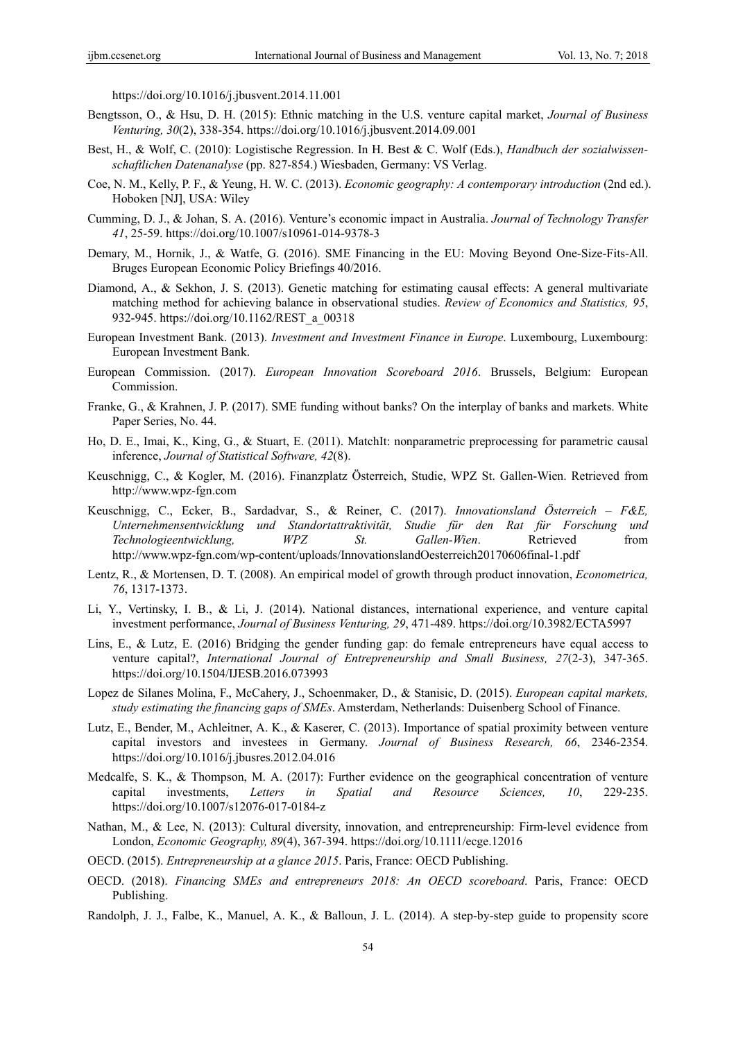https://doi.org/10.1016/j.jbusvent.2014.11.001

- Bengtsson, O., & Hsu, D. H. (2015): Ethnic matching in the U.S. venture capital market, *Journal of Business Venturing, 30*(2), 338-354. https://doi.org/10.1016/j.jbusvent.2014.09.001
- Best, H., & Wolf, C. (2010): Logistische Regression. In H. Best & C. Wolf (Eds.), *Handbuch der sozialwissenschaftlichen Datenanalyse* (pp. 827-854.) Wiesbaden, Germany: VS Verlag.
- Coe, N. M., Kelly, P. F., & Yeung, H. W. C. (2013). *Economic geography: A contemporary introduction* (2nd ed.). Hoboken [NJ], USA: Wiley
- Cumming, D. J., & Johan, S. A. (2016). Venture's economic impact in Australia. *Journal of Technology Transfer 41*, 25-59. https://doi.org/10.1007/s10961-014-9378-3
- Demary, M., Hornik, J., & Watfe, G. (2016). SME Financing in the EU: Moving Beyond One-Size-Fits-All. Bruges European Economic Policy Briefings 40/2016.
- Diamond, A., & Sekhon, J. S. (2013). Genetic matching for estimating causal effects: A general multivariate matching method for achieving balance in observational studies. *Review of Economics and Statistics, 95*, 932-945. https://doi.org/10.1162/REST\_a\_00318
- European Investment Bank. (2013). *Investment and Investment Finance in Europe*. Luxembourg, Luxembourg: European Investment Bank.
- European Commission. (2017). *European Innovation Scoreboard 2016*. Brussels, Belgium: European Commission.
- Franke, G., & Krahnen, J. P. (2017). SME funding without banks? On the interplay of banks and markets. White Paper Series, No. 44.
- Ho, D. E., Imai, K., King, G., & Stuart, E. (2011). MatchIt: nonparametric preprocessing for parametric causal inference, *Journal of Statistical Software, 42*(8).
- Keuschnigg, C., & Kogler, M. (2016). Finanzplatz Österreich, Studie, WPZ St. Gallen-Wien. Retrieved from http://www.wpz-fgn.com
- Keuschnigg, C., Ecker, B., Sardadvar, S., & Reiner, C. (2017). *Innovationsland Österreich F&E, Unternehmensentwicklung und Standortattraktivität, Studie für den Rat für Forschung und Technologieentwicklung, WPZ St. Gallen-Wien*. Retrieved from http://www.wpz-fgn.com/wp-content/uploads/InnovationslandOesterreich20170606final-1.pdf
- Lentz, R., & Mortensen, D. T. (2008). An empirical model of growth through product innovation, *Econometrica, 76*, 1317-1373.
- Li, Y., Vertinsky, I. B., & Li, J. (2014). National distances, international experience, and venture capital investment performance, *Journal of Business Venturing, 29*, 471-489. https://doi.org/10.3982/ECTA5997
- Lins, E., & Lutz, E. (2016) Bridging the gender funding gap: do female entrepreneurs have equal access to venture capital?, *International Journal of Entrepreneurship and Small Business, 27*(2-3), 347-365. https://doi.org/10.1504/IJESB.2016.073993
- Lopez de Silanes Molina, F., McCahery, J., Schoenmaker, D., & Stanisic, D. (2015). *European capital markets, study estimating the financing gaps of SMEs*. Amsterdam, Netherlands: Duisenberg School of Finance.
- Lutz, E., Bender, M., Achleitner, A. K., & Kaserer, C. (2013). Importance of spatial proximity between venture capital investors and investees in Germany. *Journal of Business Research, 66*, 2346-2354. https://doi.org/10.1016/j.jbusres.2012.04.016
- Medcalfe, S. K., & Thompson, M. A. (2017): Further evidence on the geographical concentration of venture capital investments, *Letters in Spatial and Resource Sciences, 10*, 229-235. https://doi.org/10.1007/s12076-017-0184-z
- Nathan, M., & Lee, N. (2013): Cultural diversity, innovation, and entrepreneurship: Firm-level evidence from London, *Economic Geography, 89*(4), 367-394. https://doi.org/10.1111/ecge.12016
- OECD. (2015). *Entrepreneurship at a glance 2015*. Paris, France: OECD Publishing.
- OECD. (2018). *Financing SMEs and entrepreneurs 2018: An OECD scoreboard*. Paris, France: OECD Publishing.
- Randolph, J. J., Falbe, K., Manuel, A. K., & Balloun, J. L. (2014). A step-by-step guide to propensity score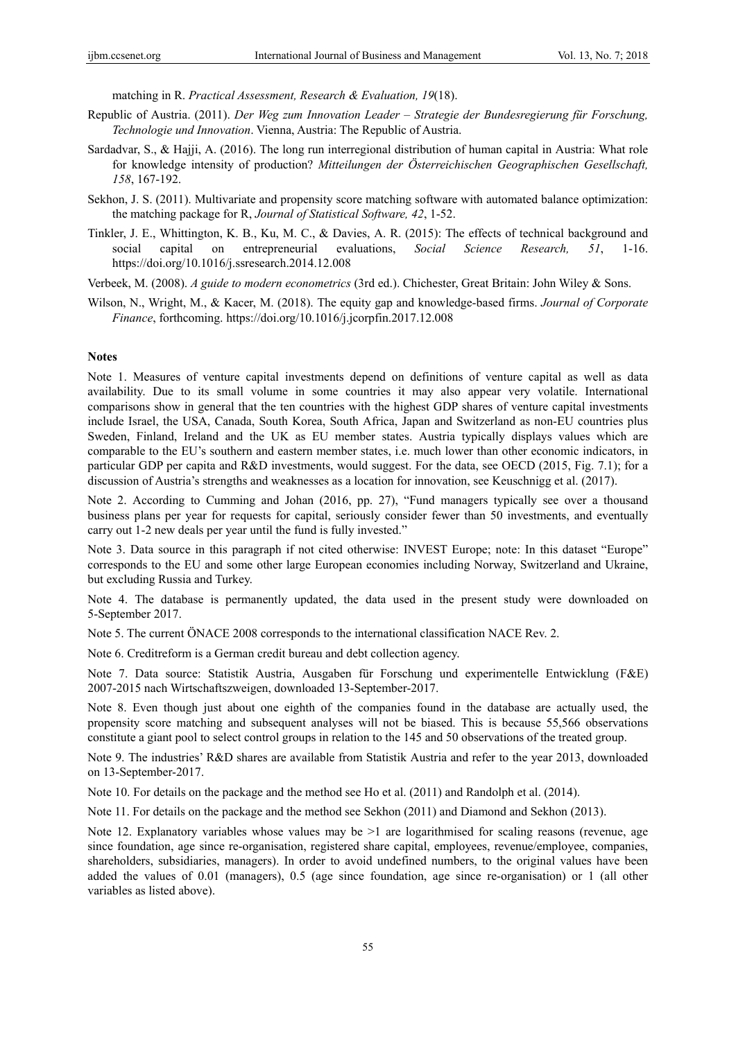matching in R. *Practical Assessment, Research & Evaluation, 19*(18).

- Republic of Austria. (2011). *Der Weg zum Innovation Leader Strategie der Bundesregierung für Forschung, Technologie und Innovation*. Vienna, Austria: The Republic of Austria.
- Sardadvar, S., & Hajji, A. (2016). The long run interregional distribution of human capital in Austria: What role for knowledge intensity of production? *Mitteilungen der Österreichischen Geographischen Gesellschaft, 158*, 167-192.
- Sekhon, J. S. (2011). Multivariate and propensity score matching software with automated balance optimization: the matching package for R, *Journal of Statistical Software, 42*, 1-52.
- Tinkler, J. E., Whittington, K. B., Ku, M. C., & Davies, A. R. (2015): The effects of technical background and social capital on entrepreneurial evaluations, *Social Science Research, 51*, 1-16. https://doi.org/10.1016/j.ssresearch.2014.12.008
- Verbeek, M. (2008). *A guide to modern econometrics* (3rd ed.). Chichester, Great Britain: John Wiley & Sons.
- Wilson, N., Wright, M., & Kacer, M. (2018). The equity gap and knowledge-based firms. *Journal of Corporate Finance*, forthcoming. https://doi.org/10.1016/j.jcorpfin.2017.12.008

## **Notes**

Note 1. Measures of venture capital investments depend on definitions of venture capital as well as data availability. Due to its small volume in some countries it may also appear very volatile. International comparisons show in general that the ten countries with the highest GDP shares of venture capital investments include Israel, the USA, Canada, South Korea, South Africa, Japan and Switzerland as non-EU countries plus Sweden, Finland, Ireland and the UK as EU member states. Austria typically displays values which are comparable to the EU's southern and eastern member states, i.e. much lower than other economic indicators, in particular GDP per capita and R&D investments, would suggest. For the data, see OECD (2015, Fig. 7.1); for a discussion of Austria's strengths and weaknesses as a location for innovation, see Keuschnigg et al. (2017).

Note 2. According to Cumming and Johan (2016, pp. 27), "Fund managers typically see over a thousand business plans per year for requests for capital, seriously consider fewer than 50 investments, and eventually carry out 1-2 new deals per year until the fund is fully invested."

Note 3. Data source in this paragraph if not cited otherwise: INVEST Europe; note: In this dataset "Europe" corresponds to the EU and some other large European economies including Norway, Switzerland and Ukraine, but excluding Russia and Turkey.

Note 4. The database is permanently updated, the data used in the present study were downloaded on 5-September 2017.

Note 5. The current ÖNACE 2008 corresponds to the international classification NACE Rev. 2.

Note 6. Creditreform is a German credit bureau and debt collection agency.

Note 7. Data source: Statistik Austria, Ausgaben für Forschung und experimentelle Entwicklung (F&E) 2007-2015 nach Wirtschaftszweigen, downloaded 13-September-2017.

Note 8. Even though just about one eighth of the companies found in the database are actually used, the propensity score matching and subsequent analyses will not be biased. This is because 55,566 observations constitute a giant pool to select control groups in relation to the 145 and 50 observations of the treated group.

Note 9. The industries' R&D shares are available from Statistik Austria and refer to the year 2013, downloaded on 13-September-2017.

Note 10. For details on the package and the method see Ho et al. (2011) and Randolph et al. (2014).

Note 11. For details on the package and the method see Sekhon (2011) and Diamond and Sekhon (2013).

Note 12. Explanatory variables whose values may be  $>1$  are logarithmised for scaling reasons (revenue, age since foundation, age since re-organisation, registered share capital, employees, revenue/employee, companies, shareholders, subsidiaries, managers). In order to avoid undefined numbers, to the original values have been added the values of 0.01 (managers), 0.5 (age since foundation, age since re-organisation) or 1 (all other variables as listed above).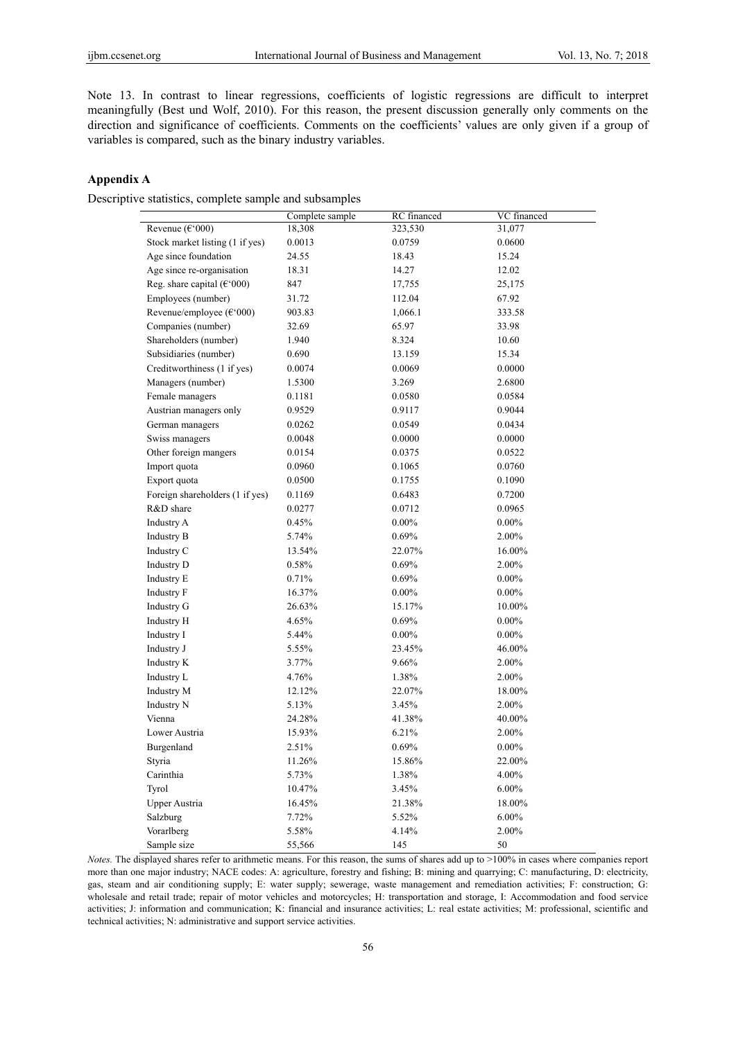Note 13. In contrast to linear regressions, coefficients of logistic regressions are difficult to interpret meaningfully (Best und Wolf, 2010). For this reason, the present discussion generally only comments on the direction and significance of coefficients. Comments on the coefficients' values are only given if a group of variables is compared, such as the binary industry variables.

# **Appendix A**

Descriptive statistics, complete sample and subsamples

|                                                 | Complete sample | RC financed | VC financed |
|-------------------------------------------------|-----------------|-------------|-------------|
| Revenue ( $\epsilon$ '000)                      | 18,308          | 323,530     | 31,077      |
| Stock market listing (1 if yes)                 | 0.0013          | 0.0759      | 0.0600      |
| Age since foundation                            | 24.55           | 18.43       | 15.24       |
| Age since re-organisation                       | 18.31           | 14.27       | 12.02       |
| Reg. share capital $(\text{\textsterling} 000)$ | 847             | 17,755      | 25,175      |
| Employees (number)                              | 31.72           | 112.04      | 67.92       |
| Revenue/employee ( $\epsilon$ '000)             | 903.83          | 1,066.1     | 333.58      |
| Companies (number)                              | 32.69           | 65.97       | 33.98       |
| Shareholders (number)                           | 1.940           | 8.324       | 10.60       |
| Subsidiaries (number)                           | 0.690           | 13.159      | 15.34       |
| Creditworthiness (1 if yes)                     | 0.0074          | 0.0069      | 0.0000      |
| Managers (number)                               | 1.5300          | 3.269       | 2.6800      |
| Female managers                                 | 0.1181          | 0.0580      | 0.0584      |
| Austrian managers only                          | 0.9529          | 0.9117      | 0.9044      |
| German managers                                 | 0.0262          | 0.0549      | 0.0434      |
| Swiss managers                                  | 0.0048          | 0.0000      | 0.0000      |
| Other foreign mangers                           | 0.0154          | 0.0375      | 0.0522      |
| Import quota                                    | 0.0960          | 0.1065      | 0.0760      |
| Export quota                                    | 0.0500          | 0.1755      | 0.1090      |
| Foreign shareholders (1 if yes)                 | 0.1169          | 0.6483      | 0.7200      |
| R&D share                                       | 0.0277          | 0.0712      | 0.0965      |
| <b>Industry A</b>                               | 0.45%           | $0.00\%$    | $0.00\%$    |
| <b>Industry B</b>                               | 5.74%           | 0.69%       | 2.00%       |
| Industry C                                      | 13.54%          | 22.07%      | 16.00%      |
| <b>Industry D</b>                               | 0.58%           | 0.69%       | 2.00%       |
| Industry E                                      | 0.71%           | 0.69%       | $0.00\%$    |
| <b>Industry F</b>                               | 16.37%          | $0.00\%$    | $0.00\%$    |
| Industry G                                      | 26.63%          | 15.17%      | 10.00%      |
| Industry H                                      | 4.65%           | 0.69%       | $0.00\%$    |
| Industry I                                      | 5.44%           | $0.00\%$    | $0.00\%$    |
| Industry J                                      | 5.55%           | 23.45%      | 46.00%      |
| Industry K                                      | 3.77%           | 9.66%       | 2.00%       |
| Industry L                                      | 4.76%           | 1.38%       | 2.00%       |
| <b>Industry M</b>                               | 12.12%          | 22.07%      | 18.00%      |
| <b>Industry N</b>                               | 5.13%           | 3.45%       | 2.00%       |
| Vienna                                          | 24.28%          | 41.38%      | 40.00%      |
| Lower Austria                                   | 15.93%          | 6.21%       | 2.00%       |
| Burgenland                                      | 2.51%           | 0.69%       | $0.00\%$    |
| Styria                                          | 11.26%          | 15.86%      | 22.00%      |
| Carinthia                                       | 5.73%           | 1.38%       | 4.00%       |
| Tyrol                                           | 10.47%          | 3.45%       | 6.00%       |
| <b>Upper Austria</b>                            | 16.45%          | 21.38%      | 18.00%      |
| Salzburg                                        | 7.72%           | 5.52%       | $6.00\%$    |
| Vorarlberg                                      | 5.58%           | 4.14%       | 2.00%       |
| Sample size                                     | 55,566          | 145         | 50          |

*Notes.* The displayed shares refer to arithmetic means. For this reason, the sums of shares add up to >100% in cases where companies report more than one major industry; NACE codes: A: agriculture, forestry and fishing; B: mining and quarrying; C: manufacturing, D: electricity, gas, steam and air conditioning supply; E: water supply; sewerage, waste management and remediation activities; F: construction; G: wholesale and retail trade; repair of motor vehicles and motorcycles; H: transportation and storage, I: Accommodation and food service activities; J: information and communication; K: financial and insurance activities; L: real estate activities; M: professional, scientific and technical activities; N: administrative and support service activities.